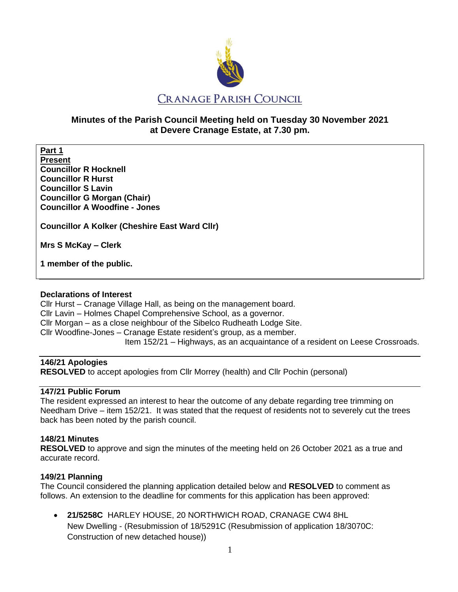

# **Minutes of the Parish Council Meeting held on Tuesday 30 November 2021 at Devere Cranage Estate, at 7.30 pm.**

**Part 1 Present Councillor R Hocknell Councillor R Hurst Councillor S Lavin Councillor G Morgan (Chair) Councillor A Woodfine - Jones**

**Councillor A Kolker (Cheshire East Ward Cllr)** 

**Mrs S McKay – Clerk** 

**1 member of the public.**

#### **Declarations of Interest**

Cllr Hurst – Cranage Village Hall, as being on the management board. Cllr Lavin – Holmes Chapel Comprehensive School, as a governor. Cllr Morgan – as a close neighbour of the Sibelco Rudheath Lodge Site. Cllr Woodfine-Jones – Cranage Estate resident's group, as a member. Item 152/21 – Highways, as an acquaintance of a resident on Leese Crossroads.

### **146/21 Apologies**

**RESOLVED** to accept apologies from Cllr Morrey (health) and Cllr Pochin (personal)

### **147/21 Public Forum**

The resident expressed an interest to hear the outcome of any debate regarding tree trimming on Needham Drive – item 152/21. It was stated that the request of residents not to severely cut the trees back has been noted by the parish council.

#### **148/21 Minutes**

**RESOLVED** to approve and sign the minutes of the meeting held on 26 October 2021 as a true and accurate record.

### **149/21 Planning**

The Council considered the planning application detailed below and **RESOLVED** to comment as follows. An extension to the deadline for comments for this application has been approved:

• **21/5258C** HARLEY HOUSE, 20 NORTHWICH ROAD, CRANAGE CW4 8HL New Dwelling - (Resubmission of 18/5291C (Resubmission of application 18/3070C: Construction of new detached house))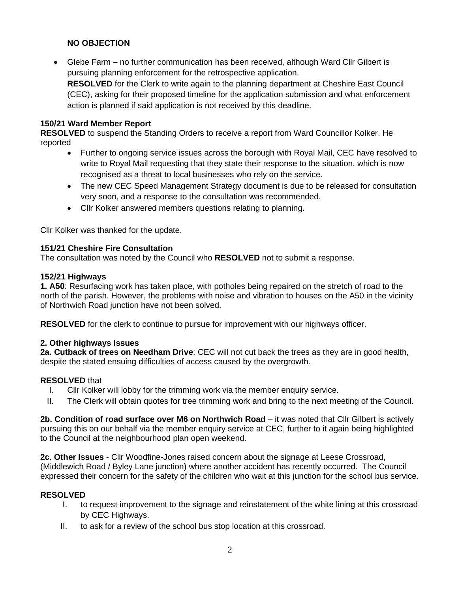## **NO OBJECTION**

• Glebe Farm – no further communication has been received, although Ward Cllr Gilbert is pursuing planning enforcement for the retrospective application. **RESOLVED** for the Clerk to write again to the planning department at Cheshire East Council (CEC), asking for their proposed timeline for the application submission and what enforcement action is planned if said application is not received by this deadline.

#### **150/21 Ward Member Report**

**RESOLVED** to suspend the Standing Orders to receive a report from Ward Councillor Kolker. He reported

- Further to ongoing service issues across the borough with Royal Mail, CEC have resolved to write to Royal Mail requesting that they state their response to the situation, which is now recognised as a threat to local businesses who rely on the service.
- The new CEC Speed Management Strategy document is due to be released for consultation very soon, and a response to the consultation was recommended.
- Cllr Kolker answered members questions relating to planning.

Cllr Kolker was thanked for the update.

### **151/21 Cheshire Fire Consultation**

The consultation was noted by the Council who **RESOLVED** not to submit a response.

#### **152/21 Highways**

**1. A50**: Resurfacing work has taken place, with potholes being repaired on the stretch of road to the north of the parish. However, the problems with noise and vibration to houses on the A50 in the vicinity of Northwich Road junction have not been solved.

**RESOLVED** for the clerk to continue to pursue for improvement with our highways officer.

#### **2. Other highways Issues**

**2a. Cutback of trees on Needham Drive**: CEC will not cut back the trees as they are in good health, despite the stated ensuing difficulties of access caused by the overgrowth.

#### **RESOLVED** that

- I. Cllr Kolker will lobby for the trimming work via the member enquiry service.
- II. The Clerk will obtain quotes for tree trimming work and bring to the next meeting of the Council.

**2b. Condition of road surface over M6 on Northwich Road** – it was noted that Cllr Gilbert is actively pursuing this on our behalf via the member enquiry service at CEC, further to it again being highlighted to the Council at the neighbourhood plan open weekend.

**2c**. **Other Issues** - Cllr Woodfine-Jones raised concern about the signage at Leese Crossroad, (Middlewich Road / Byley Lane junction) where another accident has recently occurred. The Council expressed their concern for the safety of the children who wait at this junction for the school bus service.

### **RESOLVED**

- I. to request improvement to the signage and reinstatement of the white lining at this crossroad by CEC Highways.
- II. to ask for a review of the school bus stop location at this crossroad.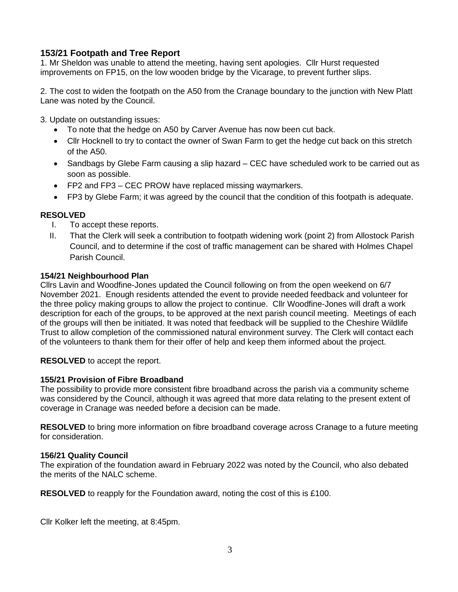# **153/21 Footpath and Tree Report**

1. Mr Sheldon was unable to attend the meeting, having sent apologies. Cllr Hurst requested improvements on FP15, on the low wooden bridge by the Vicarage, to prevent further slips.

2. The cost to widen the footpath on the A50 from the Cranage boundary to the junction with New Platt Lane was noted by the Council.

3. Update on outstanding issues:

- To note that the hedge on A50 by Carver Avenue has now been cut back.
- Cllr Hocknell to try to contact the owner of Swan Farm to get the hedge cut back on this stretch of the A50.
- Sandbags by Glebe Farm causing a slip hazard CEC have scheduled work to be carried out as soon as possible.
- FP2 and FP3 CEC PROW have replaced missing waymarkers.
- FP3 by Glebe Farm; it was agreed by the council that the condition of this footpath is adequate.

### **RESOLVED**

- I. To accept these reports.
- II. That the Clerk will seek a contribution to footpath widening work (point 2) from Allostock Parish Council, and to determine if the cost of traffic management can be shared with Holmes Chapel Parish Council.

### **154/21 Neighbourhood Plan**

Cllrs Lavin and Woodfine-Jones updated the Council following on from the open weekend on 6/7 November 2021. Enough residents attended the event to provide needed feedback and volunteer for the three policy making groups to allow the project to continue. Cllr Woodfine-Jones will draft a work description for each of the groups, to be approved at the next parish council meeting. Meetings of each of the groups will then be initiated. It was noted that feedback will be supplied to the Cheshire Wildlife Trust to allow completion of the commissioned natural environment survey. The Clerk will contact each of the volunteers to thank them for their offer of help and keep them informed about the project.

**RESOLVED** to accept the report.

### **155/21 Provision of Fibre Broadband**

The possibility to provide more consistent fibre broadband across the parish via a community scheme was considered by the Council, although it was agreed that more data relating to the present extent of coverage in Cranage was needed before a decision can be made.

**RESOLVED** to bring more information on fibre broadband coverage across Cranage to a future meeting for consideration.

### **156/21 Quality Council**

The expiration of the foundation award in February 2022 was noted by the Council, who also debated the merits of the NALC scheme.

**RESOLVED** to reapply for the Foundation award, noting the cost of this is £100.

Cllr Kolker left the meeting, at 8:45pm.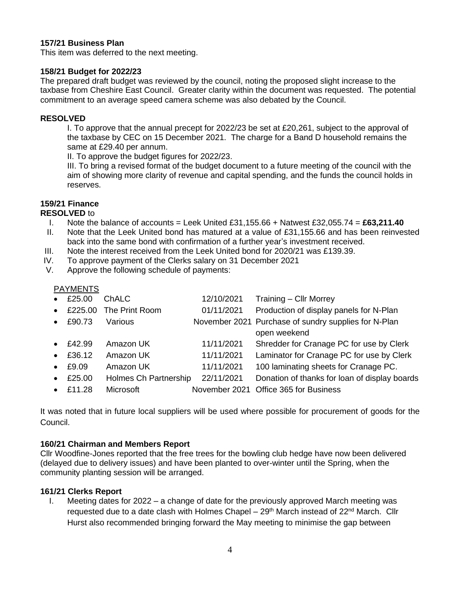#### **157/21 Business Plan**

This item was deferred to the next meeting.

#### **158/21 Budget for 2022/23**

The prepared draft budget was reviewed by the council, noting the proposed slight increase to the taxbase from Cheshire East Council. Greater clarity within the document was requested. The potential commitment to an average speed camera scheme was also debated by the Council.

#### **RESOLVED**

I. To approve that the annual precept for 2022/23 be set at £20,261, subject to the approval of the taxbase by CEC on 15 December 2021. The charge for a Band D household remains the same at £29.40 per annum.

II. To approve the budget figures for 2022/23.

III. To bring a revised format of the budget document to a future meeting of the council with the aim of showing more clarity of revenue and capital spending, and the funds the council holds in reserves.

### **159/21 Finance**

**RESOLVED** to

- I. Note the balance of accounts = Leek United £31,155.66 + Natwest £32,055.74 = **£63,211.40**
- II. Note that the Leek United bond has matured at a value of £31,155.66 and has been reinvested back into the same bond with confirmation of a further year's investment received.
- III. Note the interest received from the Leek United bond for 2020/21 was £139.39.
- IV. To approve payment of the Clerks salary on 31 December 2021
- V. Approve the following schedule of payments:

# PAYMENTS

| $\bullet$ | £25.00 | ChALC                  | 12/10/2021 | Training - Cllr Morrey                                               |
|-----------|--------|------------------------|------------|----------------------------------------------------------------------|
| $\bullet$ |        | £225.00 The Print Room | 01/11/2021 | Production of display panels for N-Plan                              |
| $\bullet$ | £90.73 | Various                |            | November 2021 Purchase of sundry supplies for N-Plan<br>open weekend |
| $\bullet$ | £42.99 | Amazon UK              | 11/11/2021 | Shredder for Cranage PC for use by Clerk                             |
| $\bullet$ | £36.12 | Amazon UK              | 11/11/2021 | Laminator for Cranage PC for use by Clerk                            |
| $\bullet$ | £9.09  | Amazon UK              | 11/11/2021 | 100 laminating sheets for Cranage PC.                                |
| $\bullet$ | £25.00 | Holmes Ch Partnership  | 22/11/2021 | Donation of thanks for loan of display boards                        |
| $\bullet$ | £11.28 | Microsoft              |            | November 2021 Office 365 for Business                                |

It was noted that in future local suppliers will be used where possible for procurement of goods for the Council.

### **160/21 Chairman and Members Report**

Cllr Woodfine-Jones reported that the free trees for the bowling club hedge have now been delivered (delayed due to delivery issues) and have been planted to over-winter until the Spring, when the community planting session will be arranged.

### **161/21 Clerks Report**

I. Meeting dates for 2022 – a change of date for the previously approved March meeting was requested due to a date clash with Holmes Chapel –  $29<sup>th</sup>$  March instead of  $22<sup>nd</sup>$  March. Cllr Hurst also recommended bringing forward the May meeting to minimise the gap between